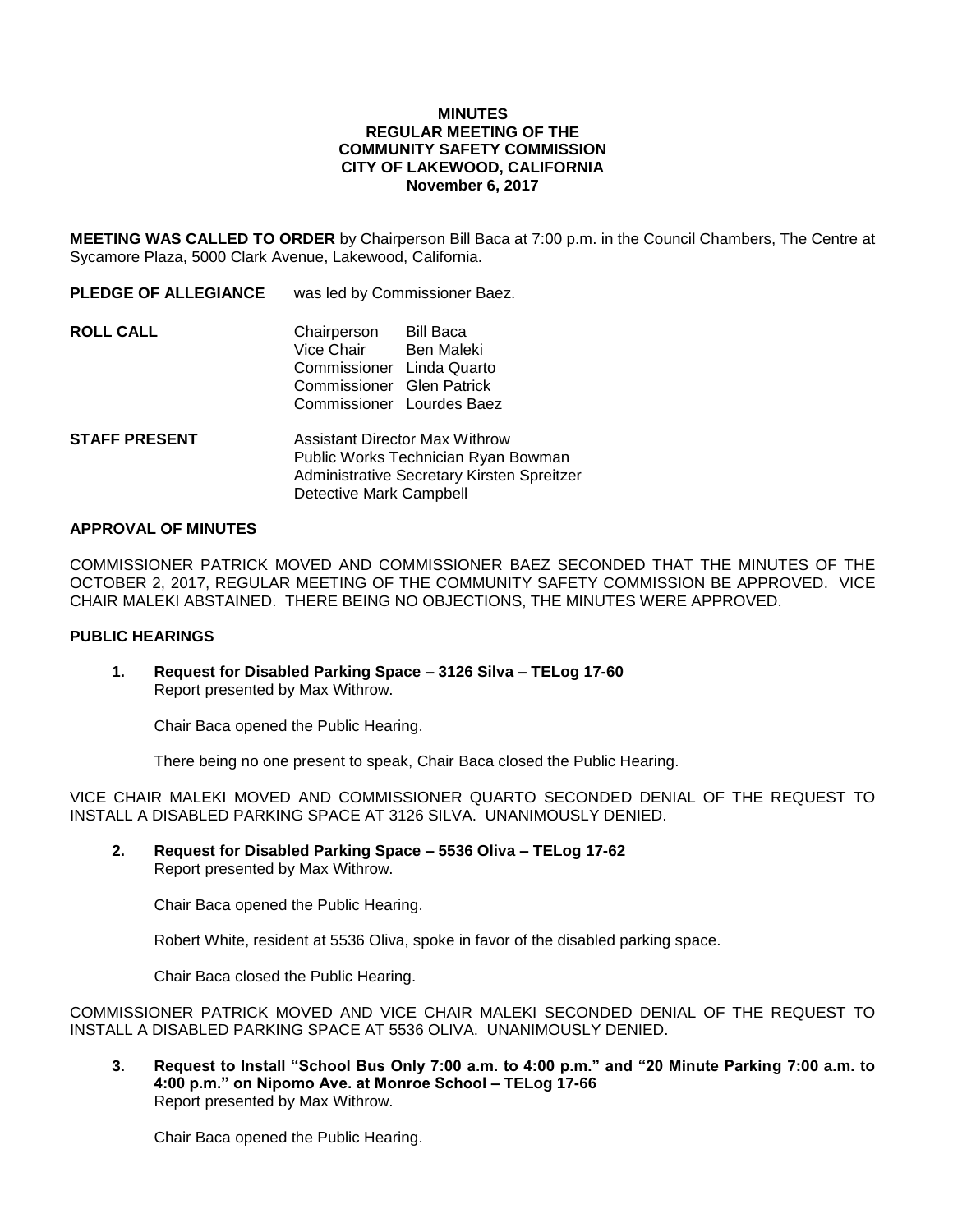### **MINUTES REGULAR MEETING OF THE COMMUNITY SAFETY COMMISSION CITY OF LAKEWOOD, CALIFORNIA November 6, 2017**

**MEETING WAS CALLED TO ORDER** by Chairperson Bill Baca at 7:00 p.m. in the Council Chambers, The Centre at Sycamore Plaza, 5000 Clark Avenue, Lakewood, California.

**PLEDGE OF ALLEGIANCE** was led by Commissioner Baez.

| <b>ROLL CALL</b> | Chairperson               | Bill Baca  |
|------------------|---------------------------|------------|
|                  | Vice Chair                | Ben Maleki |
|                  | Commissioner Linda Quarto |            |
|                  | Commissioner Glen Patrick |            |
|                  | Commissioner Lourdes Baez |            |

**STAFF PRESENT** Assistant Director Max Withrow Public Works Technician Ryan Bowman Administrative Secretary Kirsten Spreitzer Detective Mark Campbell

### **APPROVAL OF MINUTES**

COMMISSIONER PATRICK MOVED AND COMMISSIONER BAEZ SECONDED THAT THE MINUTES OF THE OCTOBER 2, 2017, REGULAR MEETING OF THE COMMUNITY SAFETY COMMISSION BE APPROVED. VICE CHAIR MALEKI ABSTAINED. THERE BEING NO OBJECTIONS, THE MINUTES WERE APPROVED.

# **PUBLIC HEARINGS**

**1. Request for Disabled Parking Space – 3126 Silva – TELog 17-60** Report presented by Max Withrow.

Chair Baca opened the Public Hearing.

There being no one present to speak, Chair Baca closed the Public Hearing.

VICE CHAIR MALEKI MOVED AND COMMISSIONER QUARTO SECONDED DENIAL OF THE REQUEST TO INSTALL A DISABLED PARKING SPACE AT 3126 SILVA. UNANIMOUSLY DENIED.

**2. Request for Disabled Parking Space – 5536 Oliva – TELog 17-62** Report presented by Max Withrow.

Chair Baca opened the Public Hearing.

Robert White, resident at 5536 Oliva, spoke in favor of the disabled parking space.

Chair Baca closed the Public Hearing.

COMMISSIONER PATRICK MOVED AND VICE CHAIR MALEKI SECONDED DENIAL OF THE REQUEST TO INSTALL A DISABLED PARKING SPACE AT 5536 OLIVA. UNANIMOUSLY DENIED.

**3. Request to Install "School Bus Only 7:00 a.m. to 4:00 p.m." and "20 Minute Parking 7:00 a.m. to 4:00 p.m." on Nipomo Ave. at Monroe School – TELog 17-66** Report presented by Max Withrow.

Chair Baca opened the Public Hearing.